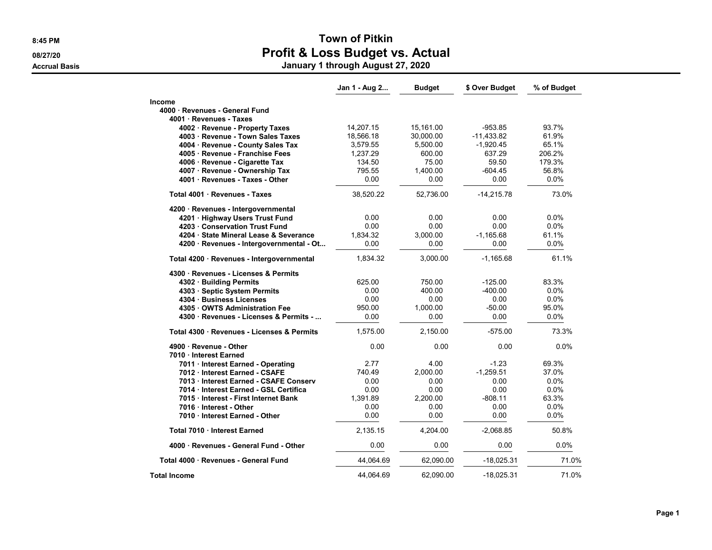### 8:45 PM SALES AND TOWN OF PITKIN 08/27/20 **Profit & Loss Budget vs. Actual** Accrual Basis January 1 through August 27, 2020

|                                            | Jan 1 - Aug 2 | <b>Budget</b> | \$ Over Budget | % of Budget |
|--------------------------------------------|---------------|---------------|----------------|-------------|
| <b>Income</b>                              |               |               |                |             |
| 4000 Revenues - General Fund               |               |               |                |             |
| 4001 Revenues - Taxes                      |               |               |                |             |
| 4002 · Revenue - Property Taxes            | 14,207.15     | 15,161.00     | $-953.85$      | 93.7%       |
| 4003 · Revenue - Town Sales Taxes          | 18,566.18     | 30,000.00     | $-11,433.82$   | 61.9%       |
| 4004 · Revenue - County Sales Tax          | 3,579.55      | 5,500.00      | $-1,920.45$    | 65.1%       |
| 4005 · Revenue - Franchise Fees            | 1,237.29      | 600.00        | 637.29         | 206.2%      |
| 4006 · Revenue - Cigarette Tax             | 134.50        | 75.00         | 59.50          | 179.3%      |
| 4007 · Revenue - Ownership Tax             | 795.55        | 1,400.00      | -604.45        | 56.8%       |
| 4001 · Revenues - Taxes - Other            | 0.00          | 0.00          | 0.00           | 0.0%        |
| Total 4001 · Revenues - Taxes              | 38,520.22     | 52,736.00     | $-14,215.78$   | 73.0%       |
| 4200 · Revenues - Intergovernmental        |               |               |                |             |
| 4201 · Highway Users Trust Fund            | 0.00          | 0.00          | 0.00           | 0.0%        |
| 4203 · Conservation Trust Fund             | 0.00          | 0.00          | 0.00           | 0.0%        |
| 4204 · State Mineral Lease & Severance     | 1.834.32      | 3.000.00      | $-1,165.68$    | 61.1%       |
| 4200 · Revenues - Intergovernmental - Ot   | 0.00          | 0.00          | 0.00           | 0.0%        |
| Total 4200 · Revenues - Intergovernmental  | 1,834.32      | 3.000.00      | $-1.165.68$    | 61.1%       |
| 4300 Revenues - Licenses & Permits         |               |               |                |             |
| 4302 · Building Permits                    | 625.00        | 750.00        | $-125.00$      | 83.3%       |
| 4303 · Septic System Permits               | 0.00          | 400.00        | -400.00        | $0.0\%$     |
| 4304 Business Licenses                     | 0.00          | 0.00          | 0.00           | $0.0\%$     |
| 4305 OWTS Administration Fee               | 950.00        | 1,000.00      | $-50.00$       | 95.0%       |
| 4300 Revenues - Licenses & Permits -       | 0.00          | 0.00          | 0.00           | 0.0%        |
| Total 4300 · Revenues - Licenses & Permits | 1,575.00      | 2,150.00      | $-575.00$      | 73.3%       |
| 4900 Revenue - Other                       | 0.00          | 0.00          | 0.00           | 0.0%        |
| 7010 Interest Earned                       |               |               |                |             |
| 7011 · Interest Earned - Operating         | 2.77          | 4.00          | $-1.23$        | 69.3%       |
| 7012 Interest Earned - CSAFE               | 740.49        | 2.000.00      | $-1,259.51$    | 37.0%       |
| 7013 Interest Earned - CSAFE Conserv       | 0.00          | 0.00          | 0.00           | 0.0%        |
| 7014 · Interest Earned - GSL Certifica     | 0.00          | 0.00          | 0.00           | 0.0%        |
| 7015 Interest - First Internet Bank        | 1,391.89      | 2,200.00      | $-808.11$      | 63.3%       |
| 7016 Interest - Other                      | 0.00          | 0.00          | 0.00           | 0.0%        |
| 7010 Interest Earned - Other               | 0.00          | 0.00          | 0.00           | 0.0%        |
| Total 7010 · Interest Earned               | 2,135.15      | 4,204.00      | $-2,068.85$    | 50.8%       |
| 4000 · Revenues - General Fund - Other     | 0.00          | 0.00          | 0.00           | 0.0%        |
| Total 4000 · Revenues - General Fund       | 44,064.69     | 62,090.00     | $-18,025.31$   | 71.0%       |
| <b>Total Income</b>                        | 44,064.69     | 62.090.00     | $-18.025.31$   | 71.0%       |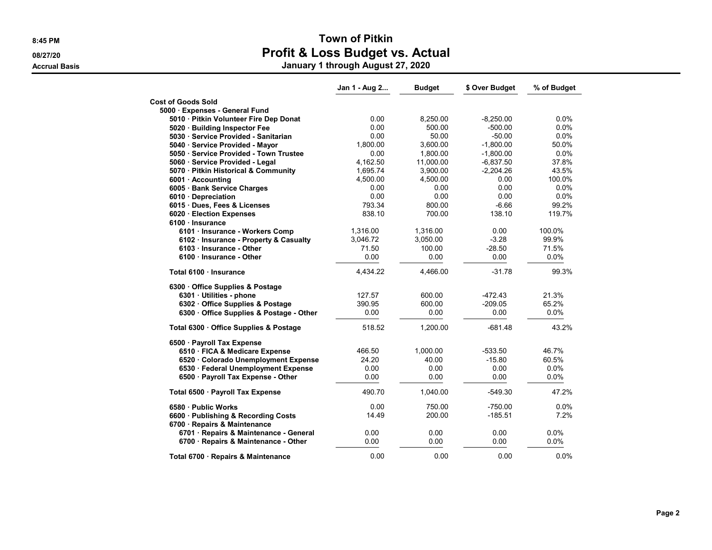|                                                                   | Jan 1 - Aug 2 | <b>Budget</b> | \$ Over Budget | % of Budget |
|-------------------------------------------------------------------|---------------|---------------|----------------|-------------|
| <b>Cost of Goods Sold</b>                                         |               |               |                |             |
| 5000 · Expenses - General Fund                                    |               |               |                |             |
| 5010 · Pitkin Volunteer Fire Dep Donat                            | 0.00          | 8,250.00      | $-8,250.00$    | 0.0%        |
| 5020 Building Inspector Fee                                       | 0.00          | 500.00        | $-500.00$      | 0.0%        |
| 5030 · Service Provided - Sanitarian                              | 0.00          | 50.00         | $-50.00$       | 0.0%        |
| 5040 · Service Provided - Mayor                                   | 1,800.00      | 3,600.00      | $-1,800.00$    | 50.0%       |
| 5050 · Service Provided - Town Trustee                            | 0.00          | 1,800.00      | $-1,800.00$    | 0.0%        |
| 5060 · Service Provided - Legal                                   | 4,162.50      | 11,000.00     | $-6,837.50$    | 37.8%       |
| 5070 · Pitkin Historical & Community                              | 1,695.74      | 3,900.00      | $-2,204.26$    | 43.5%       |
| 6001 Accounting                                                   | 4,500.00      | 4,500.00      | 0.00           | 100.0%      |
| 6005 · Bank Service Charges                                       | 0.00          | 0.00          | 0.00           | 0.0%        |
| 6010 Depreciation                                                 | 0.00          | 0.00          | 0.00           | 0.0%        |
| 6015 · Dues, Fees & Licenses                                      | 793.34        | 800.00        | $-6.66$        | 99.2%       |
| 6020 · Election Expenses                                          | 838.10        | 700.00        | 138.10         | 119.7%      |
| 6100 Insurance                                                    |               |               |                |             |
| 6101 · Insurance - Workers Comp                                   | 1,316.00      | 1,316.00      | 0.00           | 100.0%      |
| 6102 · Insurance - Property & Casualty                            | 3,046.72      | 3,050.00      | $-3.28$        | 99.9%       |
| 6103 · Insurance - Other                                          | 71.50         | 100.00        | $-28.50$       | 71.5%       |
| 6100 Insurance - Other                                            | 0.00          | 0.00          | 0.00           | 0.0%        |
| Total 6100 · Insurance                                            | 4,434.22      | 4,466.00      | $-31.78$       | 99.3%       |
| 6300 Office Supplies & Postage                                    |               |               |                |             |
| 6301 · Utilities - phone                                          | 127.57        | 600.00        | $-472.43$      | 21.3%       |
| 6302 Office Supplies & Postage                                    | 390.95        | 600.00        | $-209.05$      | 65.2%       |
| 6300 Office Supplies & Postage - Other                            | 0.00          | 0.00          | 0.00           | 0.0%        |
| Total 6300 Office Supplies & Postage                              | 518.52        | 1,200.00      | -681.48        | 43.2%       |
| 6500 · Payroll Tax Expense                                        |               |               |                |             |
| 6510 · FICA & Medicare Expense                                    | 466.50        | 1,000.00      | $-533.50$      | 46.7%       |
| 6520 Colorado Unemployment Expense                                | 24.20         | 40.00         | $-15.80$       | 60.5%       |
| 6530 · Federal Unemployment Expense                               | 0.00          | 0.00          | 0.00           | 0.0%        |
| 6500 · Payroll Tax Expense - Other                                | 0.00          | 0.00          | 0.00           | $0.0\%$     |
| Total 6500 · Payroll Tax Expense                                  | 490.70        | 1,040.00      | $-549.30$      | 47.2%       |
| 6580 - Public Works                                               | 0.00          | 750.00        | $-750.00$      | 0.0%        |
|                                                                   | 14.49         | 200.00        | $-185.51$      | 7.2%        |
| 6600 Publishing & Recording Costs<br>6700 · Repairs & Maintenance |               |               |                |             |
| 6701 · Repairs & Maintenance - General                            | 0.00          | 0.00          | 0.00           | 0.0%        |
| 6700 · Repairs & Maintenance - Other                              | 0.00          | 0.00          | 0.00           | 0.0%        |
|                                                                   |               |               |                |             |
| Total 6700 · Repairs & Maintenance                                | 0.00          | 0.00          | 0.00           | 0.0%        |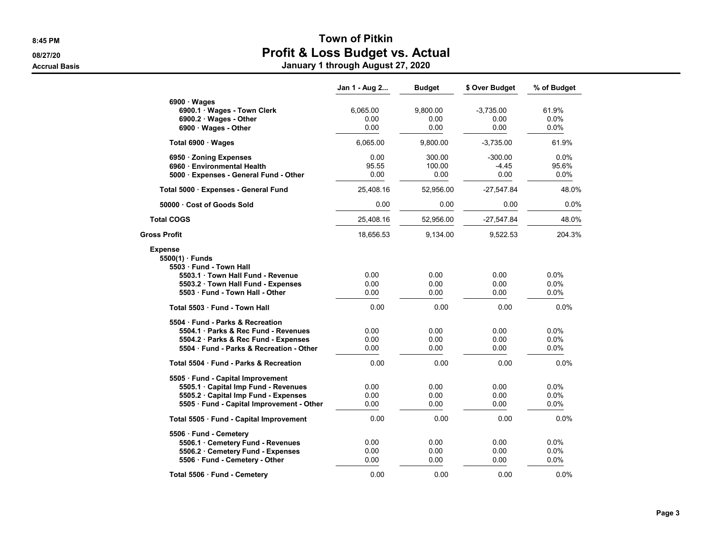#### 8:45 PM SALES AND TOWN OF PITKIN 08/27/20 **Profit & Loss Budget vs. Actual** Accrual Basis January 1 through August 27, 2020

|                                           | Jan 1 - Aug 2 | <b>Budget</b> | \$ Over Budget | % of Budget |
|-------------------------------------------|---------------|---------------|----------------|-------------|
| $6900 \cdot Wages$                        |               |               |                |             |
| 6900.1 · Wages - Town Clerk               | 6,065.00      | 9,800.00      | $-3,735.00$    | 61.9%       |
| 6900.2 · Wages - Other                    | 0.00          | 0.00          | 0.00           | 0.0%        |
| 6900 Wages - Other                        | 0.00          | 0.00          | 0.00           | 0.0%        |
| Total 6900 · Wages                        | 6,065.00      | 9,800.00      | $-3,735.00$    | 61.9%       |
| 6950 · Zoning Expenses                    | 0.00          | 300.00        | $-300.00$      | 0.0%        |
| 6960 Environmental Health                 | 95.55         | 100.00        | $-4.45$        | 95.6%       |
| 5000 · Expenses - General Fund - Other    | 0.00          | 0.00          | 0.00           | 0.0%        |
| Total 5000 · Expenses - General Fund      | 25,408.16     | 52,956.00     | $-27,547.84$   | 48.0%       |
| 50000 Cost of Goods Sold                  | 0.00          | 0.00          | 0.00           | 0.0%        |
| <b>Total COGS</b>                         | 25,408.16     | 52,956.00     | -27,547.84     | 48.0%       |
| Gross Profit                              | 18,656.53     | 9,134.00      | 9,522.53       | 204.3%      |
| <b>Expense</b>                            |               |               |                |             |
| $5500(1)$ Funds                           |               |               |                |             |
| 5503 Fund - Town Hall                     |               |               |                |             |
| 5503.1 Town Hall Fund - Revenue           | 0.00          | 0.00          | 0.00           | 0.0%        |
| 5503.2 Town Hall Fund - Expenses          | 0.00          | 0.00          | 0.00           | 0.0%        |
| 5503 Fund - Town Hall - Other             | 0.00          | 0.00          | 0.00           | $0.0\%$     |
| Total 5503 Fund - Town Hall               | 0.00          | 0.00          | 0.00           | 0.0%        |
| 5504 Fund - Parks & Recreation            |               |               |                |             |
| 5504.1 Parks & Rec Fund - Revenues        | 0.00          | 0.00          | 0.00           | 0.0%        |
| 5504.2 · Parks & Rec Fund - Expenses      | 0.00          | 0.00          | 0.00           | 0.0%        |
| 5504 Fund - Parks & Recreation - Other    | 0.00          | 0.00          | 0.00           | 0.0%        |
| Total 5504 Fund - Parks & Recreation      | 0.00          | 0.00          | 0.00           | 0.0%        |
| 5505 · Fund - Capital Improvement         |               |               |                |             |
| 5505.1 · Capital Imp Fund - Revenues      | 0.00          | 0.00          | 0.00           | $0.0\%$     |
| 5505.2 · Capital Imp Fund - Expenses      | 0.00          | 0.00          | 0.00           | $0.0\%$     |
| 5505 · Fund - Capital Improvement - Other | 0.00          | 0.00          | 0.00           | 0.0%        |
| Total 5505 · Fund - Capital Improvement   | 0.00          | 0.00          | 0.00           | 0.0%        |
| 5506 · Fund - Cemetery                    |               |               |                |             |
| 5506.1 · Cemetery Fund - Revenues         | 0.00          | 0.00          | 0.00           | 0.0%        |
| 5506.2 Cemetery Fund - Expenses           | 0.00          | 0.00          | 0.00           | $0.0\%$     |
| 5506 Fund - Cemetery - Other              | 0.00          | 0.00          | 0.00           | 0.0%        |
| Total 5506 · Fund - Cemetery              | 0.00          | 0.00          | 0.00           | 0.0%        |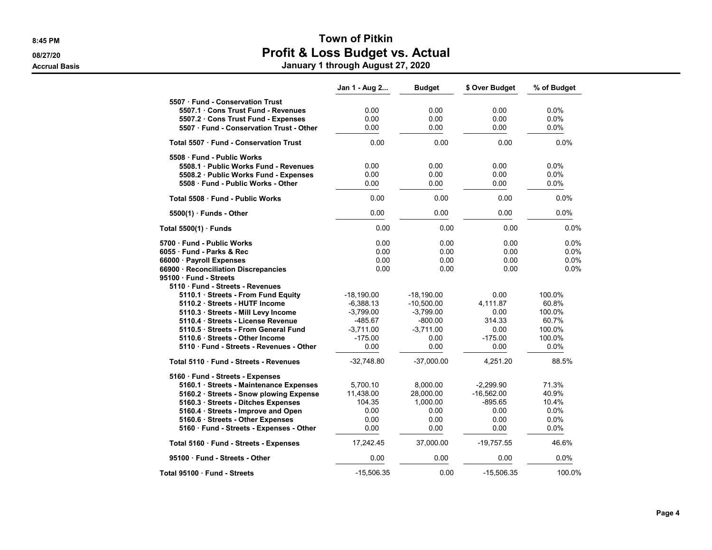|                                             | Jan 1 - Aug 2 | <b>Budget</b> | \$ Over Budget | % of Budget |
|---------------------------------------------|---------------|---------------|----------------|-------------|
| 5507 Fund - Conservation Trust              |               |               |                |             |
| 5507.1 Cons Trust Fund - Revenues           | 0.00          | 0.00          | 0.00           | 0.0%        |
| 5507.2 Cons Trust Fund - Expenses           | 0.00          | 0.00          | 0.00           | 0.0%        |
| 5507 Fund - Conservation Trust - Other      | 0.00          | 0.00          | 0.00           | 0.0%        |
| <b>Total 5507 Fund - Conservation Trust</b> | 0.00          | 0.00          | 0.00           | 0.0%        |
| 5508 · Fund - Public Works                  |               |               |                |             |
| 5508.1 Public Works Fund - Revenues         | 0.00          | 0.00          | 0.00           | 0.0%        |
| 5508.2 · Public Works Fund - Expenses       | 0.00          | 0.00          | 0.00           | 0.0%        |
| 5508 Fund - Public Works - Other            | 0.00          | 0.00          | 0.00           | 0.0%        |
| Total 5508 · Fund - Public Works            | 0.00          | 0.00          | 0.00           | 0.0%        |
| $5500(1)$ Funds - Other                     | 0.00          | 0.00          | 0.00           | 0.0%        |
| Total 5500(1) · Funds                       | 0.00          | 0.00          | 0.00           | $0.0\%$     |
| 5700 · Fund - Public Works                  | 0.00          | 0.00          | 0.00           | 0.0%        |
| 6055 · Fund - Parks & Rec                   | 0.00          | 0.00          | 0.00           | 0.0%        |
| 66000 · Payroll Expenses                    | 0.00          | 0.00          | 0.00           | 0.0%        |
| 66900 · Reconciliation Discrepancies        | 0.00          | 0.00          | 0.00           | 0.0%        |
| 95100 · Fund - Streets                      |               |               |                |             |
| 5110 · Fund - Streets - Revenues            |               |               |                |             |
| 5110.1 · Streets - From Fund Equity         | -18,190.00    | $-18,190.00$  | 0.00           | 100.0%      |
| 5110.2 Streets - HUTF Income                | $-6.388.13$   | $-10.500.00$  | 4.111.87       | 60.8%       |
| 5110.3 · Streets - Mill Levy Income         | $-3,799.00$   | $-3,799.00$   | 0.00           | 100.0%      |
| 5110.4 · Streets - License Revenue          | $-485.67$     | $-800.00$     | 314.33         | 60.7%       |
| 5110.5 Streets - From General Fund          | $-3,711.00$   | $-3,711.00$   | 0.00           | 100.0%      |
| 5110.6 · Streets - Other Income             | $-175.00$     | 0.00          | $-175.00$      | 100.0%      |
| 5110 Fund - Streets - Revenues - Other      | 0.00          | 0.00          | 0.00           | 0.0%        |
| Total 5110 Fund - Streets - Revenues        | $-32,748.80$  | $-37,000.00$  | 4,251.20       | 88.5%       |
| 5160 · Fund - Streets - Expenses            |               |               |                |             |
| 5160.1 · Streets - Maintenance Expenses     | 5,700.10      | 8,000.00      | $-2.299.90$    | 71.3%       |
| 5160.2 · Streets - Snow plowing Expense     | 11,438.00     | 28,000.00     | $-16,562.00$   | 40.9%       |
| 5160.3 · Streets - Ditches Expenses         | 104.35        | 1.000.00      | $-895.65$      | 10.4%       |
| 5160.4 · Streets - Improve and Open         | 0.00          | 0.00          | 0.00           | 0.0%        |
| 5160.6 · Streets - Other Expenses           | 0.00          | 0.00          | 0.00           | 0.0%        |
| 5160 · Fund - Streets - Expenses - Other    | 0.00          | 0.00          | 0.00           | 0.0%        |
| Total 5160 · Fund - Streets - Expenses      | 17,242.45     | 37,000.00     | $-19,757.55$   | 46.6%       |
| 95100 Fund - Streets - Other                | 0.00          | 0.00          | 0.00           | 0.0%        |
| Total 95100 Fund - Streets                  | $-15,506.35$  | 0.00          | $-15,506.35$   | 100.0%      |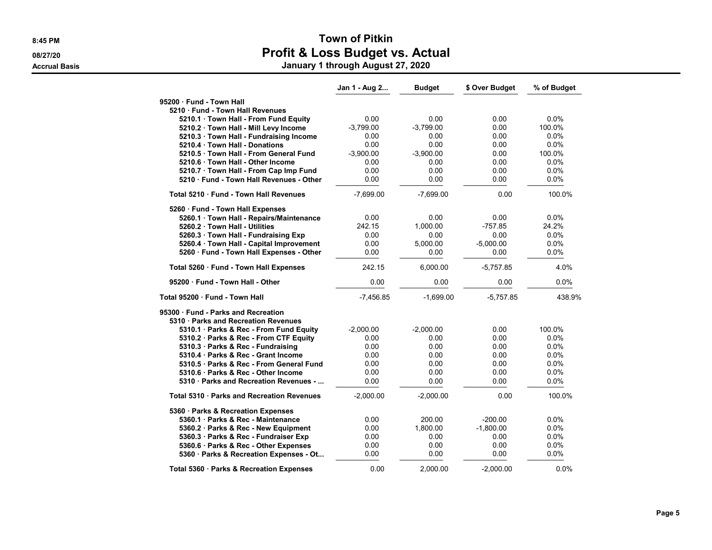|                                            | Jan 1 - Aug 2 | <b>Budget</b> | \$ Over Budget | % of Budget |
|--------------------------------------------|---------------|---------------|----------------|-------------|
| 95200 · Fund - Town Hall                   |               |               |                |             |
| 5210 Fund - Town Hall Revenues             |               |               |                |             |
| 5210.1 Town Hall - From Fund Equity        | 0.00          | 0.00          | 0.00           | 0.0%        |
| 5210.2 · Town Hall - Mill Levy Income      | $-3,799.00$   | $-3,799.00$   | 0.00           | 100.0%      |
| 5210.3 Town Hall - Fundraising Income      | 0.00          | 0.00          | 0.00           | $0.0\%$     |
| 5210.4 Town Hall - Donations               | 0.00          | 0.00          | 0.00           | 0.0%        |
| 5210.5 · Town Hall - From General Fund     | $-3,900.00$   | $-3,900.00$   | 0.00           | 100.0%      |
| 5210.6 Town Hall - Other Income            | 0.00          | 0.00          | 0.00           | 0.0%        |
| 5210.7 · Town Hall - From Cap Imp Fund     | 0.00          | 0.00          | 0.00           | 0.0%        |
| 5210 Fund - Town Hall Revenues - Other     | 0.00          | 0.00          | 0.00           | 0.0%        |
| Total 5210 Fund - Town Hall Revenues       | $-7,699.00$   | $-7,699.00$   | 0.00           | 100.0%      |
| 5260 · Fund - Town Hall Expenses           |               |               |                |             |
| 5260.1 Town Hall - Repairs/Maintenance     | 0.00          | 0.00          | 0.00           | $0.0\%$     |
| 5260.2 Town Hall - Utilities               | 242.15        | 1,000.00      | $-757.85$      | 24.2%       |
| 5260.3 Town Hall - Fundraising Exp         | 0.00          | 0.00          | 0.00           | $0.0\%$     |
| 5260.4 · Town Hall - Capital Improvement   | 0.00          | 5,000.00      | $-5,000.00$    | 0.0%        |
| 5260 · Fund - Town Hall Expenses - Other   | 0.00          | 0.00          | 0.00           | 0.0%        |
| Total 5260 · Fund - Town Hall Expenses     | 242.15        | 6,000.00      | $-5,757.85$    | 4.0%        |
| 95200 · Fund - Town Hall - Other           | 0.00          | 0.00          | 0.00           | 0.0%        |
| Total 95200 · Fund - Town Hall             | $-7,456.85$   | $-1,699.00$   | $-5,757.85$    | 438.9%      |
| 95300 · Fund - Parks and Recreation        |               |               |                |             |
| 5310 · Parks and Recreation Revenues       |               |               |                |             |
| 5310.1 · Parks & Rec - From Fund Equity    | $-2,000.00$   | $-2,000.00$   | 0.00           | 100.0%      |
| 5310.2 · Parks & Rec - From CTF Equity     | 0.00          | 0.00          | 0.00           | 0.0%        |
| 5310.3 Parks & Rec - Fundraising           | 0.00          | 0.00          | 0.00           | $0.0\%$     |
| 5310.4 Parks & Rec - Grant Income          | 0.00          | 0.00          | 0.00           | 0.0%        |
| 5310.5 Parks & Rec - From General Fund     | 0.00          | 0.00          | 0.00           | $0.0\%$     |
| 5310.6 Parks & Rec - Other Income          | 0.00          | 0.00          | 0.00           | 0.0%        |
| 5310 Parks and Recreation Revenues -       | 0.00          | 0.00          | 0.00           | 0.0%        |
| Total 5310 · Parks and Recreation Revenues | $-2,000.00$   | $-2,000.00$   | 0.00           | 100.0%      |
| 5360 · Parks & Recreation Expenses         |               |               |                |             |
| 5360.1 Parks & Rec - Maintenance           | 0.00          | 200.00        | $-200.00$      | $0.0\%$     |
| 5360.2 · Parks & Rec - New Equipment       | 0.00          | 1,800.00      | $-1,800.00$    | $0.0\%$     |
| 5360.3 · Parks & Rec - Fundraiser Exp      | 0.00          | 0.00          | 0.00           | 0.0%        |
| 5360.6 Parks & Rec - Other Expenses        | 0.00          | 0.00          | 0.00           | 0.0%        |
| 5360 · Parks & Recreation Expenses - Ot    | 0.00          | 0.00          | 0.00           | 0.0%        |
| Total 5360 · Parks & Recreation Expenses   | 0.00          | 2,000.00      | $-2,000.00$    | 0.0%        |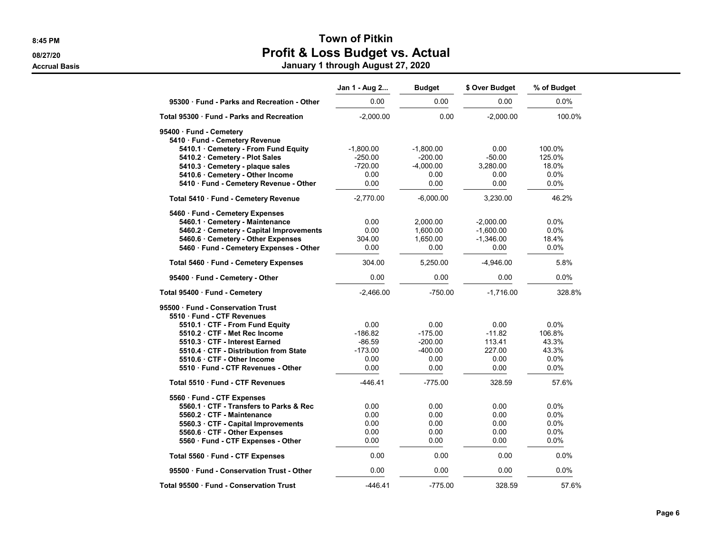#### 8:45 PM SALES AND TOWN OF PITKIN 08/27/20 **Profit & Loss Budget vs. Actual** Accrual Basis January 1 through August 27, 2020

|                                             | Jan 1 - Aug 2 | <b>Budget</b> | \$ Over Budget | % of Budget |
|---------------------------------------------|---------------|---------------|----------------|-------------|
| 95300 · Fund - Parks and Recreation - Other | 0.00          | 0.00          | 0.00           | 0.0%        |
| Total 95300 Fund - Parks and Recreation     | $-2,000.00$   | 0.00          | $-2,000.00$    | 100.0%      |
| 95400 · Fund - Cemetery                     |               |               |                |             |
| 5410 · Fund - Cemetery Revenue              |               |               |                |             |
| 5410.1 Cemetery - From Fund Equity          | $-1,800.00$   | $-1,800.00$   | 0.00           | 100.0%      |
| 5410.2 · Cemetery - Plot Sales              | $-250.00$     | $-200.00$     | $-50.00$       | 125.0%      |
| 5410.3 Cemetery - plaque sales              | $-720.00$     | $-4,000.00$   | 3,280.00       | 18.0%       |
| 5410.6 · Cemetery - Other Income            | 0.00          | 0.00          | 0.00           | 0.0%        |
| 5410 · Fund - Cemetery Revenue - Other      | 0.00          | 0.00          | 0.00           | 0.0%        |
| Total 5410 · Fund - Cemetery Revenue        | $-2,770.00$   | $-6,000.00$   | 3,230.00       | 46.2%       |
| 5460 · Fund - Cemetery Expenses             |               |               |                |             |
| 5460.1 · Cemetery - Maintenance             | 0.00          | 2,000.00      | $-2,000.00$    | 0.0%        |
| 5460.2 · Cemetery - Capital Improvements    | 0.00          | 1,600.00      | $-1,600.00$    | 0.0%        |
| 5460.6 · Cemetery - Other Expenses          | 304.00        | 1,650.00      | $-1,346.00$    | 18.4%       |
| 5460 · Fund - Cemetery Expenses - Other     | 0.00          | 0.00          | 0.00           | 0.0%        |
| Total 5460 · Fund - Cemetery Expenses       | 304.00        | 5,250.00      | $-4,946.00$    | 5.8%        |
| 95400 · Fund - Cemetery - Other             | 0.00          | 0.00          | 0.00           | 0.0%        |
| Total 95400 · Fund - Cemetery               | $-2,466.00$   | $-750.00$     | $-1,716.00$    | 328.8%      |
| 95500 Fund - Conservation Trust             |               |               |                |             |
| 5510 Fund - CTF Revenues                    |               |               |                |             |
| 5510.1 CTF - From Fund Equity               | 0.00          | 0.00          | 0.00           | 0.0%        |
| 5510.2 CTF - Met Rec Income                 | $-186.82$     | -175.00       | $-11.82$       | 106.8%      |
| 5510.3 CTF - Interest Earned                | $-86.59$      | $-200.00$     | 113.41         | 43.3%       |
| 5510.4 CTF - Distribution from State        | $-173.00$     | $-400.00$     | 227.00         | 43.3%       |
| 5510.6 CTF - Other Income                   | 0.00          | 0.00          | 0.00           | 0.0%        |
| 5510 Fund - CTF Revenues - Other            | 0.00          | 0.00          | 0.00           | 0.0%        |
| Total 5510 Fund - CTF Revenues              | $-446.41$     | $-775.00$     | 328.59         | 57.6%       |
| 5560 · Fund - CTF Expenses                  |               |               |                |             |
| 5560.1 · CTF - Transfers to Parks & Rec     | 0.00          | 0.00          | 0.00           | 0.0%        |
| 5560.2 CTF - Maintenance                    | 0.00          | 0.00          | 0.00           | $0.0\%$     |
| 5560.3 · CTF - Capital Improvements         | 0.00          | 0.00          | 0.00           | $0.0\%$     |
| 5560.6 · CTF - Other Expenses               | 0.00          | 0.00          | 0.00           | 0.0%        |
| 5560 · Fund - CTF Expenses - Other          | 0.00          | 0.00          | 0.00           | 0.0%        |
| Total 5560 · Fund - CTF Expenses            | 0.00          | 0.00          | 0.00           | 0.0%        |
| 95500 · Fund - Conservation Trust - Other   | 0.00          | 0.00          | 0.00           | 0.0%        |
|                                             |               |               |                |             |